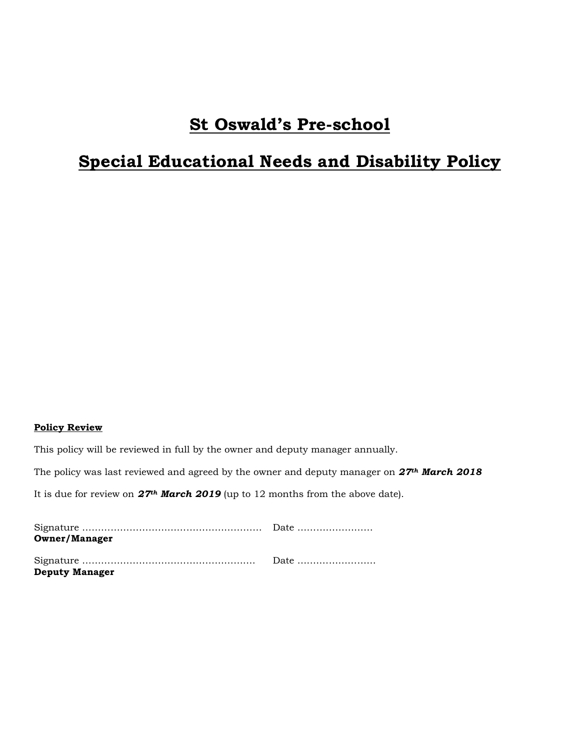# **St Oswald's Pre-school**

# **Special Educational Needs and Disability Policy**

#### **Policy Review**

This policy will be reviewed in full by the owner and deputy manager annually.

The policy was last reviewed and agreed by the owner and deputy manager on *27th March 2018*

It is due for review on *27th March 2019* (up to 12 months from the above date).

| <b>Owner/Manager</b>  |  |
|-----------------------|--|
|                       |  |
| <b>Deputy Manager</b> |  |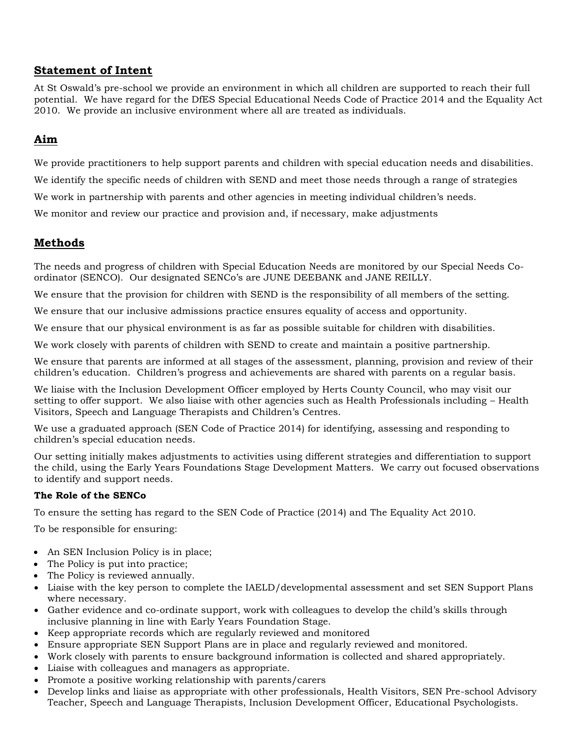# **Statement of Intent**

At St Oswald's pre-school we provide an environment in which all children are supported to reach their full potential. We have regard for the DfES Special Educational Needs Code of Practice 2014 and the Equality Act 2010. We provide an inclusive environment where all are treated as individuals.

# **Aim**

We provide practitioners to help support parents and children with special education needs and disabilities.

We identify the specific needs of children with SEND and meet those needs through a range of strategies

We work in partnership with parents and other agencies in meeting individual children's needs.

We monitor and review our practice and provision and, if necessary, make adjustments

# **Methods**

The needs and progress of children with Special Education Needs are monitored by our Special Needs Coordinator (SENCO). Our designated SENCo's are JUNE DEEBANK and JANE REILLY.

We ensure that the provision for children with SEND is the responsibility of all members of the setting.

We ensure that our inclusive admissions practice ensures equality of access and opportunity.

We ensure that our physical environment is as far as possible suitable for children with disabilities.

We work closely with parents of children with SEND to create and maintain a positive partnership.

We ensure that parents are informed at all stages of the assessment, planning, provision and review of their children's education. Children's progress and achievements are shared with parents on a regular basis.

We liaise with the Inclusion Development Officer employed by Herts County Council, who may visit our setting to offer support. We also liaise with other agencies such as Health Professionals including – Health Visitors, Speech and Language Therapists and Children's Centres.

We use a graduated approach (SEN Code of Practice 2014) for identifying, assessing and responding to children's special education needs.

Our setting initially makes adjustments to activities using different strategies and differentiation to support the child, using the Early Years Foundations Stage Development Matters. We carry out focused observations to identify and support needs.

## **The Role of the SENCo**

To ensure the setting has regard to the SEN Code of Practice (2014) and The Equality Act 2010.

To be responsible for ensuring:

- An SEN Inclusion Policy is in place;
- The Policy is put into practice;
- The Policy is reviewed annually.
- Liaise with the key person to complete the IAELD/developmental assessment and set SEN Support Plans where necessary.
- Gather evidence and co-ordinate support, work with colleagues to develop the child's skills through inclusive planning in line with Early Years Foundation Stage.
- Keep appropriate records which are regularly reviewed and monitored
- Ensure appropriate SEN Support Plans are in place and regularly reviewed and monitored.
- Work closely with parents to ensure background information is collected and shared appropriately.
- Liaise with colleagues and managers as appropriate.
- Promote a positive working relationship with parents/carers
- Develop links and liaise as appropriate with other professionals, Health Visitors, SEN Pre-school Advisory Teacher, Speech and Language Therapists, Inclusion Development Officer, Educational Psychologists.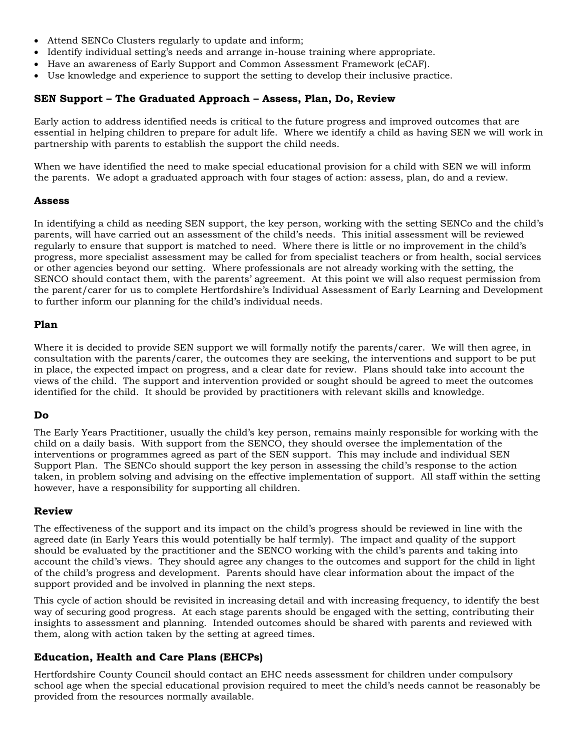- Attend SENCo Clusters regularly to update and inform;
- Identify individual setting's needs and arrange in-house training where appropriate.
- Have an awareness of Early Support and Common Assessment Framework (eCAF).
- Use knowledge and experience to support the setting to develop their inclusive practice.

## **SEN Support – The Graduated Approach – Assess, Plan, Do, Review**

Early action to address identified needs is critical to the future progress and improved outcomes that are essential in helping children to prepare for adult life. Where we identify a child as having SEN we will work in partnership with parents to establish the support the child needs.

When we have identified the need to make special educational provision for a child with SEN we will inform the parents. We adopt a graduated approach with four stages of action: assess, plan, do and a review.

#### **Assess**

In identifying a child as needing SEN support, the key person, working with the setting SENCo and the child's parents, will have carried out an assessment of the child's needs. This initial assessment will be reviewed regularly to ensure that support is matched to need. Where there is little or no improvement in the child's progress, more specialist assessment may be called for from specialist teachers or from health, social services or other agencies beyond our setting. Where professionals are not already working with the setting, the SENCO should contact them, with the parents' agreement. At this point we will also request permission from the parent/carer for us to complete Hertfordshire's Individual Assessment of Early Learning and Development to further inform our planning for the child's individual needs.

#### **Plan**

Where it is decided to provide SEN support we will formally notify the parents/carer. We will then agree, in consultation with the parents/carer, the outcomes they are seeking, the interventions and support to be put in place, the expected impact on progress, and a clear date for review. Plans should take into account the views of the child. The support and intervention provided or sought should be agreed to meet the outcomes identified for the child. It should be provided by practitioners with relevant skills and knowledge.

## **Do**

The Early Years Practitioner, usually the child's key person, remains mainly responsible for working with the child on a daily basis. With support from the SENCO, they should oversee the implementation of the interventions or programmes agreed as part of the SEN support. This may include and individual SEN Support Plan. The SENCo should support the key person in assessing the child's response to the action taken, in problem solving and advising on the effective implementation of support. All staff within the setting however, have a responsibility for supporting all children.

## **Review**

The effectiveness of the support and its impact on the child's progress should be reviewed in line with the agreed date (in Early Years this would potentially be half termly). The impact and quality of the support should be evaluated by the practitioner and the SENCO working with the child's parents and taking into account the child's views. They should agree any changes to the outcomes and support for the child in light of the child's progress and development. Parents should have clear information about the impact of the support provided and be involved in planning the next steps.

This cycle of action should be revisited in increasing detail and with increasing frequency, to identify the best way of securing good progress. At each stage parents should be engaged with the setting, contributing their insights to assessment and planning. Intended outcomes should be shared with parents and reviewed with them, along with action taken by the setting at agreed times.

## **Education, Health and Care Plans (EHCPs)**

Hertfordshire County Council should contact an EHC needs assessment for children under compulsory school age when the special educational provision required to meet the child's needs cannot be reasonably be provided from the resources normally available.